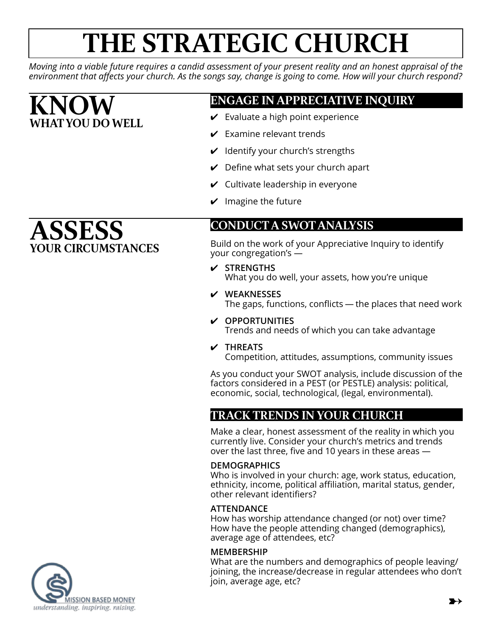# **THE STRATEGIC CHURCH**

*Moving into a viable future requires a candid assessment of your present reality and an honest appraisal of the environment that affects your church. As the songs say, change is going to come. How will your church respond?*

# **KNOW WHAT YOU DO WELL**

**ASSESS**

## **ENGAGE IN APPRECIATIVE INQUIRY**

- $\vee$  Evaluate a high point experience
- $\triangleright$  Examine relevant trends
- $\vee$  Identify your church's strengths
- $\vee$  Define what sets your church apart
- $\vee$  Cultivate leadership in everyone
- $\vee$  Imagine the future

### **CONDUCT A SWOT ANALYSIS**

Build on the work of your Appreciative Inquiry to identify your congregation's —

✔ **STRENGTHS**

What you do well, your assets, how you're unique

- ✔ **WEAKNESSES** The gaps, functions, conflicts — the places that need work
- ✔ **OPPORTUNITIES** Trends and needs of which you can take advantage
- ✔ **THREATS**

Competition, attitudes, assumptions, community issues

As you conduct your SWOT analysis, include discussion of the factors considered in a PEST (or PESTLE) analysis: political, economic, social, technological, (legal, environmental).

# **TRACK TRENDS IN YOUR CHURCH**

Make a clear, honest assessment of the reality in which you currently live. Consider your church's metrics and trends over the last three, five and 10 years in these areas —

#### **DEMOGRAPHICS**

Who is involved in your church: age, work status, education, ethnicity, income, political affiliation, marital status, gender, other relevant identifiers?

#### **ATTENDANCE**

How has worship attendance changed (or not) over time? How have the people attending changed (demographics), average age of attendees, etc?

#### **MEMBERSHIP**

What are the numbers and demographics of people leaving/ joining, the increase/decrease in regular attendees who don't join, average age, etc?

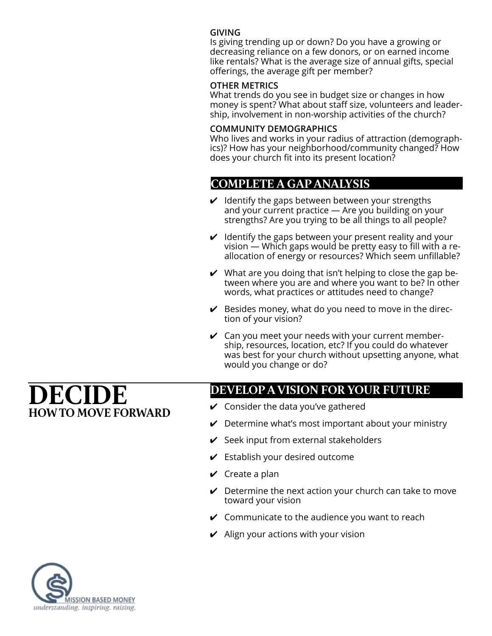#### **GIVING**

Is giving trending up or down? Do you have a growing or decreasing reliance on a few donors, or on earned income like rentals? What is the average size of annual gifts, special offerings, the average gift per member?

#### **OTHER METRICS**

What trends do you see in budget size or changes in how money is spent? What about staff size, volunteers and leadership, involvement in non-worship activities of the church?

#### **COMMUNITY DEMOGRAPHICS**

Who lives and works in your radius of attraction (demographics)? How has your neighborhood/community changed? How does your church fit into its present location?

### **COMPLETE A GAP ANALYSIS**

- $\vee$  Identify the gaps between between your strengths and your current practice — Are you building on your strengths? Are you trying to be all things to all people?
- $\boldsymbol{\nu}$  Identify the gaps between your present reality and your vision — Which gaps would be pretty easy to fill with a reallocation of energy or resources? Which seem unfillable?
- $\vee$  What are you doing that isn't helping to close the gap between where you are and where you want to be? In other words, what practices or attitudes need to change?
- $\vee$  Besides money, what do you need to move in the direction of your vision?
- $\vee$  Can you meet your needs with your current membership, resources, location, etc? If you could do whatever was best for your church without upsetting anyone, what would you change or do?

# **DECIDE HOW TO MOVE FORWARD**

### **DEVELOP A VISION FOR YOUR FUTURE**

- $\vee$  Consider the data you've gathered
- $\vee$  Determine what's most important about your ministry
- $\vee$  Seek input from external stakeholders
- $\checkmark$  Establish your desired outcome
- $\vee$  Create a plan
- $\vee$  Determine the next action your church can take to move toward your vision
- $\checkmark$  Communicate to the audience you want to reach
- $\vee$  Align your actions with your vision

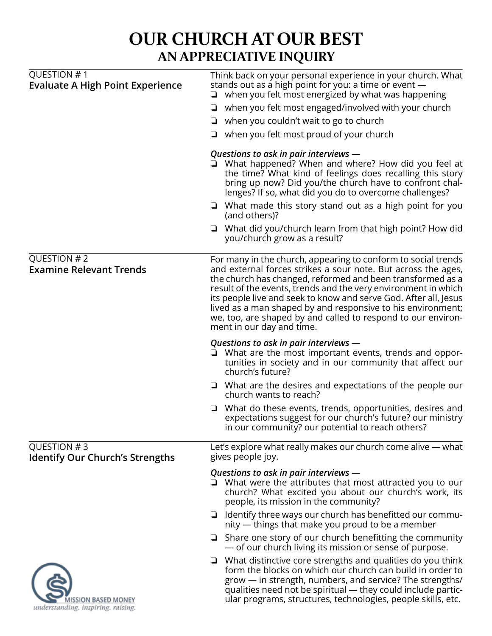# **OUR CHURCH AT OUR BEST AN APPRECIATIVE INQUIRY**

| QUESTION #1<br><b>Evaluate A High Point Experience</b>    | Think back on your personal experience in your church. What<br>stands out as a high point for you: a time or event —<br>$\Box$ when you felt most energized by what was happening                                                                                                                                                                                                                                                                                                              |
|-----------------------------------------------------------|------------------------------------------------------------------------------------------------------------------------------------------------------------------------------------------------------------------------------------------------------------------------------------------------------------------------------------------------------------------------------------------------------------------------------------------------------------------------------------------------|
|                                                           | when you felt most engaged/involved with your church                                                                                                                                                                                                                                                                                                                                                                                                                                           |
|                                                           | $\Box$ when you couldn't wait to go to church                                                                                                                                                                                                                                                                                                                                                                                                                                                  |
|                                                           | when you felt most proud of your church                                                                                                                                                                                                                                                                                                                                                                                                                                                        |
|                                                           | Questions to ask in pair interviews —<br>□ What happened? When and where? How did you feel at<br>the time? What kind of feelings does recalling this story<br>bring up now? Did you/the church have to confront chal-<br>lenges? If so, what did you do to overcome challenges?                                                                                                                                                                                                                |
|                                                           | $\Box$ What made this story stand out as a high point for you<br>(and others)?                                                                                                                                                                                                                                                                                                                                                                                                                 |
|                                                           | $\Box$ What did you/church learn from that high point? How did<br>you/church grow as a result?                                                                                                                                                                                                                                                                                                                                                                                                 |
| QUESTION #2<br><b>Examine Relevant Trends</b>             | For many in the church, appearing to conform to social trends<br>and external forces strikes a sour note. But across the ages,<br>the church has changed, reformed and been transformed as a<br>result of the events, trends and the very environment in which<br>its people live and seek to know and serve God. After all, Jesus<br>lived as a man shaped by and responsive to his environment;<br>we, too, are shaped by and called to respond to our environ-<br>ment in our day and time. |
|                                                           | Questions to ask in pair interviews -<br>$\Box$ What are the most important events, trends and oppor-<br>tunities in society and in our community that affect our<br>church's future?                                                                                                                                                                                                                                                                                                          |
|                                                           | $\Box$ What are the desires and expectations of the people our<br>church wants to reach?                                                                                                                                                                                                                                                                                                                                                                                                       |
|                                                           | What do these events, trends, opportunities, desires and<br>expectations suggest for our church's future? our ministry<br>in our community? our potential to reach others?                                                                                                                                                                                                                                                                                                                     |
| QUESTION #3<br><b>Identify Our Church's Strengths</b>     | Let's explore what really makes our church come alive - what<br>gives people joy.                                                                                                                                                                                                                                                                                                                                                                                                              |
|                                                           | Questions to ask in pair interviews -<br>$\Box$ What were the attributes that most attracted you to our<br>church? What excited you about our church's work, its<br>people, its mission in the community?                                                                                                                                                                                                                                                                                      |
|                                                           | $\Box$ Identify three ways our church has benefitted our commu-<br>nity — things that make you proud to be a member                                                                                                                                                                                                                                                                                                                                                                            |
|                                                           | Share one story of our church benefitting the community<br>❏<br>- of our church living its mission or sense of purpose.                                                                                                                                                                                                                                                                                                                                                                        |
| IISSION BASED MONEY<br>understanding. inspiring. raising. | $\Box$ What distinctive core strengths and qualities do you think<br>form the blocks on which our church can build in order to<br>grow - in strength, numbers, and service? The strengths/<br>qualities need not be spiritual — they could include partic-<br>ular programs, structures, technologies, people skills, etc.                                                                                                                                                                     |